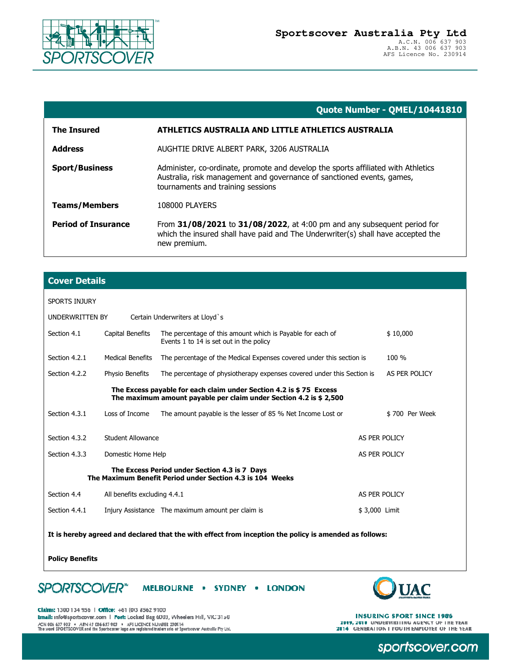

Date Issued: 25/08/2021 11:04:11 AM

|                            | Quote Number - QMEL/10441810                                                                                                                                                                     |  |  |
|----------------------------|--------------------------------------------------------------------------------------------------------------------------------------------------------------------------------------------------|--|--|
| <b>The Insured</b>         | ATHLETICS AUSTRALIA AND LITTLE ATHLETICS AUSTRALIA                                                                                                                                               |  |  |
| <b>Address</b>             | AUGHTIE DRIVE ALBERT PARK, 3206 AUSTRALIA                                                                                                                                                        |  |  |
| <b>Sport/Business</b>      | Administer, co-ordinate, promote and develop the sports affiliated with Athletics<br>Australia, risk management and governance of sanctioned events, games,<br>tournaments and training sessions |  |  |
| <b>Teams/Members</b>       | <b>108000 PLAYERS</b>                                                                                                                                                                            |  |  |
| <b>Period of Insurance</b> | From 31/08/2021 to 31/08/2022, at 4:00 pm and any subsequent period for<br>which the insured shall have paid and The Underwriter(s) shall have accepted the<br>new premium.                      |  |  |

| <b>Cover Details</b>                                                                                                                     |                                     |                                                                                                       |               |                |  |
|------------------------------------------------------------------------------------------------------------------------------------------|-------------------------------------|-------------------------------------------------------------------------------------------------------|---------------|----------------|--|
| <b>SPORTS INJURY</b>                                                                                                                     |                                     |                                                                                                       |               |                |  |
| UNDERWRITTEN BY<br>Certain Underwriters at Lloyd's                                                                                       |                                     |                                                                                                       |               |                |  |
| Section 4.1                                                                                                                              | Capital Benefits                    | The percentage of this amount which is Payable for each of<br>Events 1 to 14 is set out in the policy |               | \$10.000       |  |
| Section 4.2.1                                                                                                                            | <b>Medical Benefits</b>             | The percentage of the Medical Expenses covered under this section is                                  |               | $100 \%$       |  |
| Section 4.2.2                                                                                                                            | Physio Benefits                     | The percentage of physiotherapy expenses covered under this Section is                                |               | AS PER POLICY  |  |
| The Excess payable for each claim under Section 4.2 is \$75 Excess<br>The maximum amount payable per claim under Section 4.2 is \$ 2,500 |                                     |                                                                                                       |               |                |  |
| Section 4.3.1                                                                                                                            | Loss of Income                      | The amount payable is the lesser of 85 % Net Income Lost or                                           |               | \$700 Per Week |  |
| Section 4.3.2                                                                                                                            | Student Allowance<br>AS PER POLICY  |                                                                                                       |               |                |  |
| Section 4.3.3                                                                                                                            | AS PER POLICY<br>Domestic Home Help |                                                                                                       |               |                |  |
| The Excess Period under Section 4.3 is 7 Days<br>The Maximum Benefit Period under Section 4.3 is 104 Weeks                               |                                     |                                                                                                       |               |                |  |
| Section 4.4                                                                                                                              | All benefits excluding 4.4.1        |                                                                                                       | AS PER POLICY |                |  |
| Section 4.4.1                                                                                                                            |                                     | Injury Assistance The maximum amount per claim is                                                     | \$3,000 Limit |                |  |
| It is hereby agreed and declared that the with effect from inception the policy is amended as follows:                                   |                                     |                                                                                                       |               |                |  |

**Policy Benefits** 

**SPORTSCOVER\*** MELBOURNE . SYDNEY . LONDON



Claims: 1300 134 956 | Office: +61 (0)3 8562 9100 tmail: info@sportscover.com | Post: Locked Bag 6003, Wheelers Hill, VIC 3150 

**INSURING SPORT SINCE 1986 2009, 2010 UNDERWRITING AGENCY OF THE YEAR 2014 GENERATION I YOUTH EMPLOYER OF THE YEAR** 

sportscover.com